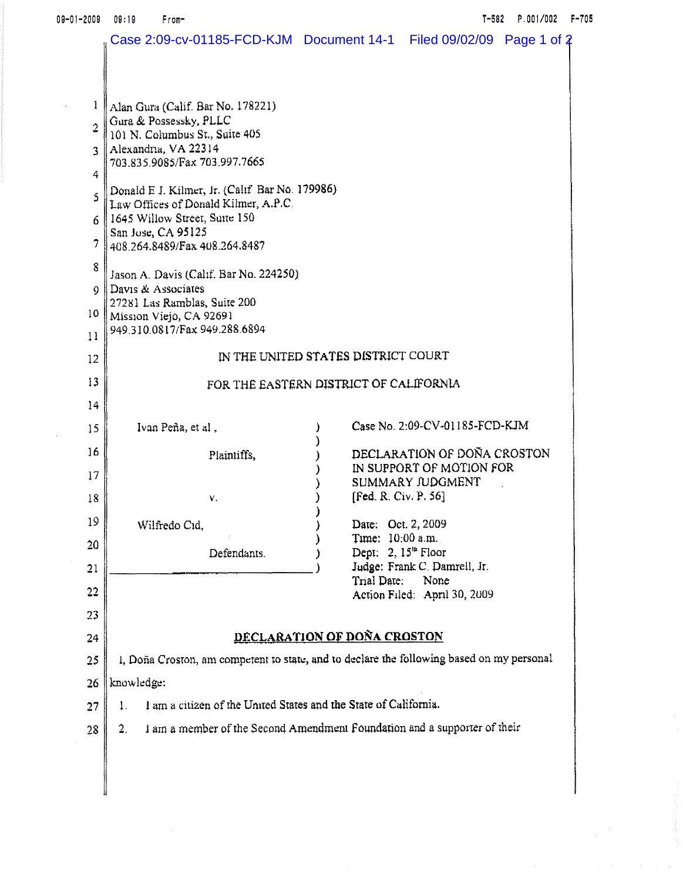| 09-01-2009     | 09:19<br>From-                                                                            |  |                  | $T - 582$                                | P.001/002 F-705 |  |
|----------------|-------------------------------------------------------------------------------------------|--|------------------|------------------------------------------|-----------------|--|
|                | Case 2:09-cv-01185-FCD-KJM  Document 14-1  Filed 09/02/09  Page 1 of 2                    |  |                  |                                          |                 |  |
|                |                                                                                           |  |                  |                                          |                 |  |
|                |                                                                                           |  |                  |                                          |                 |  |
| 1              | Alan Gura (Calif. Bar No. 178221)<br>Gura & Possessky, PLLC                               |  |                  |                                          |                 |  |
| $\overline{2}$ | 101 N. Columbus St., Suite 405                                                            |  |                  |                                          |                 |  |
| ٦              | Alexandria, VA 22314<br>703.835.9085/Fax 703.997.7665                                     |  |                  |                                          |                 |  |
| 4              |                                                                                           |  |                  |                                          |                 |  |
| 5              | Donald E J. Kilmer, Jr. (Calif Bar No. 179986)<br>Law Offices of Donald Kilmer, A.P.C.    |  |                  |                                          |                 |  |
| 6.             | 1645 Willow Street, Suite 150                                                             |  |                  |                                          |                 |  |
| 7              | San Jose, CA 95125<br>408.264.8489/Fax 408.264.8487                                       |  |                  |                                          |                 |  |
| 8              |                                                                                           |  |                  |                                          |                 |  |
| 9              | Jason A. Davis (Calif. Bar No. 224250)<br>$\parallel$ Davis & Associates                  |  |                  |                                          |                 |  |
| 10             | 27281 Las Ramblas, Suite 200<br>Mission Viejo, CA 92691                                   |  |                  |                                          |                 |  |
| 11             | 949.310.0817/Fax 949.288.6894                                                             |  |                  |                                          |                 |  |
| 12             | IN THE UNITED STATES DISTRICT COURT                                                       |  |                  |                                          |                 |  |
| 13             | FOR THE EASTERN DISTRICT OF CALIFORNIA                                                    |  |                  |                                          |                 |  |
| 14             |                                                                                           |  |                  |                                          |                 |  |
| 15             | Ivan Peña, et al,                                                                         |  |                  | Case No. 2:09-CV-01185-FCD-KJM           |                 |  |
| 16             | Plaintiffs,                                                                               |  |                  | DECLARATION OF DOÑA CROSTON              |                 |  |
| 17             |                                                                                           |  |                  | IN SUPPORT OF MOTION FOR                 |                 |  |
| 18             | ٧.                                                                                        |  |                  | SUMMARY JUDGMENT<br>[Fed. R. Civ. P. 56] |                 |  |
| 19             |                                                                                           |  |                  |                                          |                 |  |
|                | Wilfredo Cid.                                                                             |  | Time: 10:00 a.m. | Date: Oct. 2, 2009                       |                 |  |
| 20             | Defendants.                                                                               |  |                  | Dept: $2, 15th$ Floor                    |                 |  |
| 21             |                                                                                           |  | Trial Date:      | Judge: Frank C. Damrell, Jr.<br>None     |                 |  |
| 22             |                                                                                           |  |                  | Action Filed: April 30, 2009             |                 |  |
| 23             |                                                                                           |  |                  |                                          |                 |  |
| 24             | DECLARATION OF DOÑA CROSTON                                                               |  |                  |                                          |                 |  |
| 25             | I, Doña Croston, am competent to state, and to declare the following based on my personal |  |                  |                                          |                 |  |
| 26             | knowledge:                                                                                |  |                  |                                          |                 |  |
| 27             | I am a citizen of the United States and the State of California.<br>1.                    |  |                  |                                          |                 |  |
| 28             | I am a member of the Second Amendment Foundation and a supporter of their<br>2.           |  |                  |                                          |                 |  |
|                |                                                                                           |  |                  |                                          |                 |  |
|                |                                                                                           |  |                  |                                          |                 |  |
|                |                                                                                           |  |                  |                                          |                 |  |